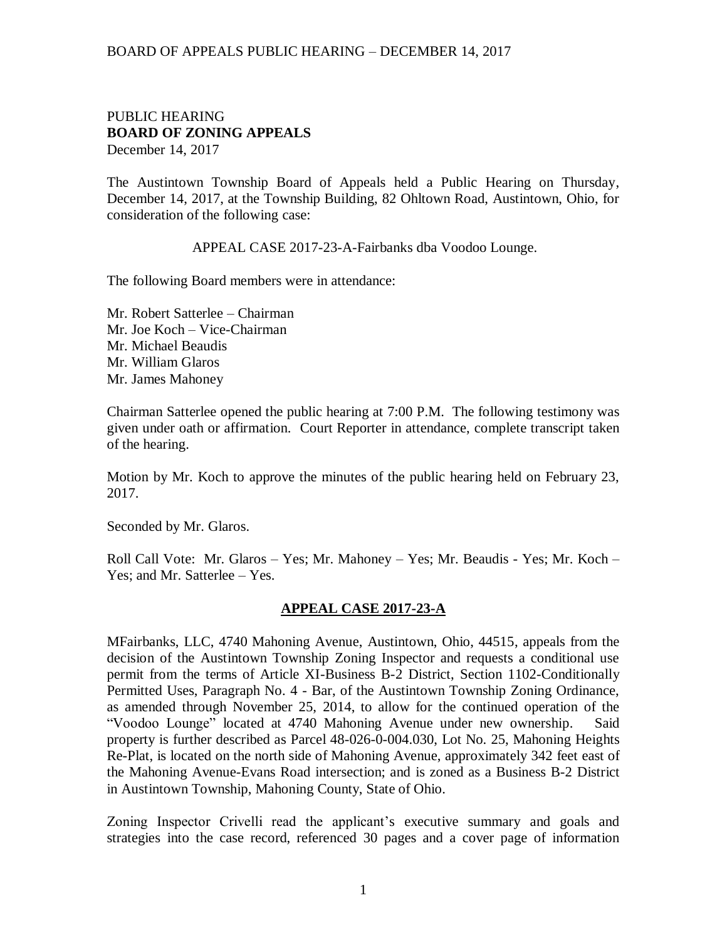## BOARD OF APPEALS PUBLIC HEARING – DECEMBER 14, 2017

## PUBLIC HEARING **BOARD OF ZONING APPEALS**  December 14, 2017

The Austintown Township Board of Appeals held a Public Hearing on Thursday, December 14, 2017, at the Township Building, 82 Ohltown Road, Austintown, Ohio, for consideration of the following case:

APPEAL CASE 2017-23-A-Fairbanks dba Voodoo Lounge.

The following Board members were in attendance:

Mr. Robert Satterlee – Chairman Mr. Joe Koch – Vice-Chairman Mr. Michael Beaudis Mr. William Glaros Mr. James Mahoney

Chairman Satterlee opened the public hearing at 7:00 P.M. The following testimony was given under oath or affirmation. Court Reporter in attendance, complete transcript taken of the hearing.

Motion by Mr. Koch to approve the minutes of the public hearing held on February 23, 2017.

Seconded by Mr. Glaros.

Roll Call Vote: Mr. Glaros – Yes; Mr. Mahoney – Yes; Mr. Beaudis - Yes; Mr. Koch – Yes; and Mr. Satterlee – Yes.

## **APPEAL CASE 2017-23-A**

MFairbanks, LLC, 4740 Mahoning Avenue, Austintown, Ohio, 44515, appeals from the decision of the Austintown Township Zoning Inspector and requests a conditional use permit from the terms of Article XI-Business B-2 District, Section 1102-Conditionally Permitted Uses, Paragraph No. 4 - Bar, of the Austintown Township Zoning Ordinance, as amended through November 25, 2014, to allow for the continued operation of the "Voodoo Lounge" located at 4740 Mahoning Avenue under new ownership. Said property is further described as Parcel 48-026-0-004.030, Lot No. 25, Mahoning Heights Re-Plat, is located on the north side of Mahoning Avenue, approximately 342 feet east of the Mahoning Avenue-Evans Road intersection; and is zoned as a Business B-2 District in Austintown Township, Mahoning County, State of Ohio.

Zoning Inspector Crivelli read the applicant's executive summary and goals and strategies into the case record, referenced 30 pages and a cover page of information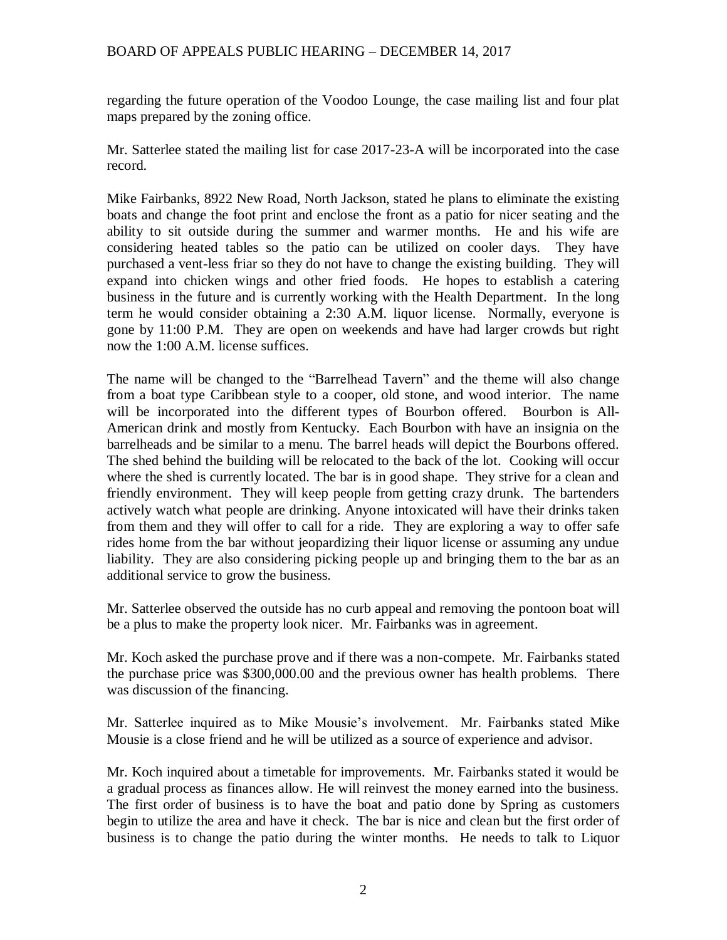regarding the future operation of the Voodoo Lounge, the case mailing list and four plat maps prepared by the zoning office.

Mr. Satterlee stated the mailing list for case 2017-23-A will be incorporated into the case record.

Mike Fairbanks, 8922 New Road, North Jackson, stated he plans to eliminate the existing boats and change the foot print and enclose the front as a patio for nicer seating and the ability to sit outside during the summer and warmer months. He and his wife are considering heated tables so the patio can be utilized on cooler days. They have purchased a vent-less friar so they do not have to change the existing building. They will expand into chicken wings and other fried foods. He hopes to establish a catering business in the future and is currently working with the Health Department. In the long term he would consider obtaining a 2:30 A.M. liquor license. Normally, everyone is gone by 11:00 P.M. They are open on weekends and have had larger crowds but right now the 1:00 A.M. license suffices.

The name will be changed to the "Barrelhead Tavern" and the theme will also change from a boat type Caribbean style to a cooper, old stone, and wood interior. The name will be incorporated into the different types of Bourbon offered. Bourbon is All-American drink and mostly from Kentucky. Each Bourbon with have an insignia on the barrelheads and be similar to a menu. The barrel heads will depict the Bourbons offered. The shed behind the building will be relocated to the back of the lot. Cooking will occur where the shed is currently located. The bar is in good shape. They strive for a clean and friendly environment. They will keep people from getting crazy drunk. The bartenders actively watch what people are drinking. Anyone intoxicated will have their drinks taken from them and they will offer to call for a ride. They are exploring a way to offer safe rides home from the bar without jeopardizing their liquor license or assuming any undue liability. They are also considering picking people up and bringing them to the bar as an additional service to grow the business.

Mr. Satterlee observed the outside has no curb appeal and removing the pontoon boat will be a plus to make the property look nicer. Mr. Fairbanks was in agreement.

Mr. Koch asked the purchase prove and if there was a non-compete. Mr. Fairbanks stated the purchase price was \$300,000.00 and the previous owner has health problems. There was discussion of the financing.

Mr. Satterlee inquired as to Mike Mousie's involvement. Mr. Fairbanks stated Mike Mousie is a close friend and he will be utilized as a source of experience and advisor.

Mr. Koch inquired about a timetable for improvements. Mr. Fairbanks stated it would be a gradual process as finances allow. He will reinvest the money earned into the business. The first order of business is to have the boat and patio done by Spring as customers begin to utilize the area and have it check. The bar is nice and clean but the first order of business is to change the patio during the winter months. He needs to talk to Liquor